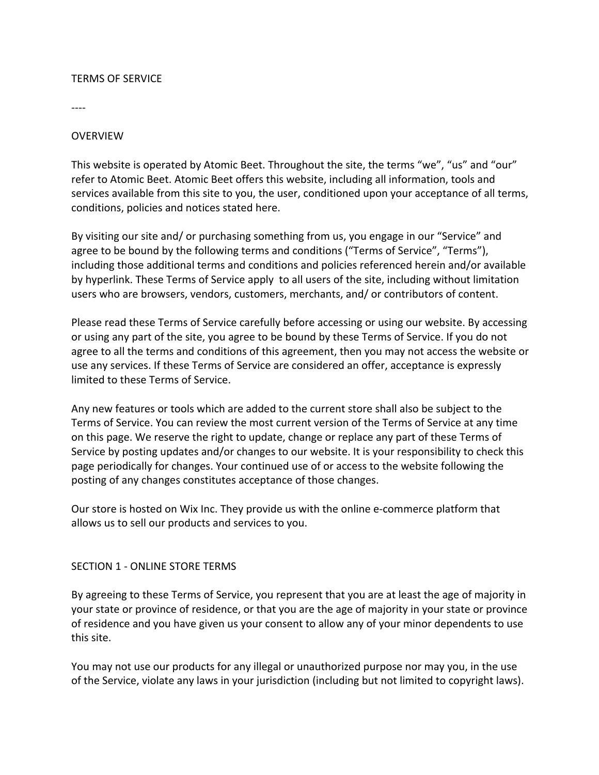## TERMS OF SERVICE

----

## OVERVIEW

This website is operated by Atomic Beet. Throughout the site, the terms "we", "us" and "our" refer to Atomic Beet. Atomic Beet offers this website, including all information, tools and services available from this site to you, the user, conditioned upon your acceptance of all terms, conditions, policies and notices stated here.

By visiting our site and/ or purchasing something from us, you engage in our "Service" and agree to be bound by the following terms and conditions ("Terms of Service", "Terms"), including those additional terms and conditions and policies referenced herein and/or available by hyperlink. These Terms of Service apply to all users of the site, including without limitation users who are browsers, vendors, customers, merchants, and/ or contributors of content.

Please read these Terms of Service carefully before accessing or using our website. By accessing or using any part of the site, you agree to be bound by these Terms of Service. If you do not agree to all the terms and conditions of this agreement, then you may not access the website or use any services. If these Terms of Service are considered an offer, acceptance is expressly limited to these Terms of Service.

Any new features or tools which are added to the current store shall also be subject to the Terms of Service. You can review the most current version of the Terms of Service at any time on this page. We reserve the right to update, change or replace any part of these Terms of Service by posting updates and/or changes to our website. It is your responsibility to check this page periodically for changes. Your continued use of or access to the website following the posting of any changes constitutes acceptance of those changes.

Our store is hosted on Wix Inc. They provide us with the online e-commerce platform that allows us to sell our products and services to you.

#### SECTION 1 - ONLINE STORE TERMS

By agreeing to these Terms of Service, you represent that you are at least the age of majority in your state or province of residence, or that you are the age of majority in your state or province of residence and you have given us your consent to allow any of your minor dependents to use this site.

You may not use our products for any illegal or unauthorized purpose nor may you, in the use of the Service, violate any laws in your jurisdiction (including but not limited to copyright laws).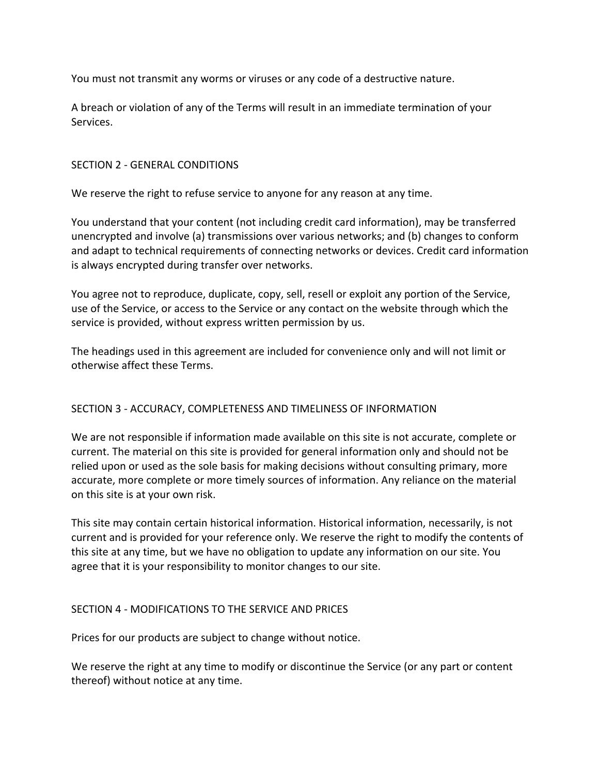You must not transmit any worms or viruses or any code of a destructive nature.

A breach or violation of any of the Terms will result in an immediate termination of your Services.

## SECTION 2 - GENERAL CONDITIONS

We reserve the right to refuse service to anyone for any reason at any time.

You understand that your content (not including credit card information), may be transferred unencrypted and involve (a) transmissions over various networks; and (b) changes to conform and adapt to technical requirements of connecting networks or devices. Credit card information is always encrypted during transfer over networks.

You agree not to reproduce, duplicate, copy, sell, resell or exploit any portion of the Service, use of the Service, or access to the Service or any contact on the website through which the service is provided, without express written permission by us.

The headings used in this agreement are included for convenience only and will not limit or otherwise affect these Terms.

# SECTION 3 - ACCURACY, COMPLETENESS AND TIMELINESS OF INFORMATION

We are not responsible if information made available on this site is not accurate, complete or current. The material on this site is provided for general information only and should not be relied upon or used as the sole basis for making decisions without consulting primary, more accurate, more complete or more timely sources of information. Any reliance on the material on this site is at your own risk.

This site may contain certain historical information. Historical information, necessarily, is not current and is provided for your reference only. We reserve the right to modify the contents of this site at any time, but we have no obligation to update any information on our site. You agree that it is your responsibility to monitor changes to our site.

# SECTION 4 - MODIFICATIONS TO THE SERVICE AND PRICES

Prices for our products are subject to change without notice.

We reserve the right at any time to modify or discontinue the Service (or any part or content thereof) without notice at any time.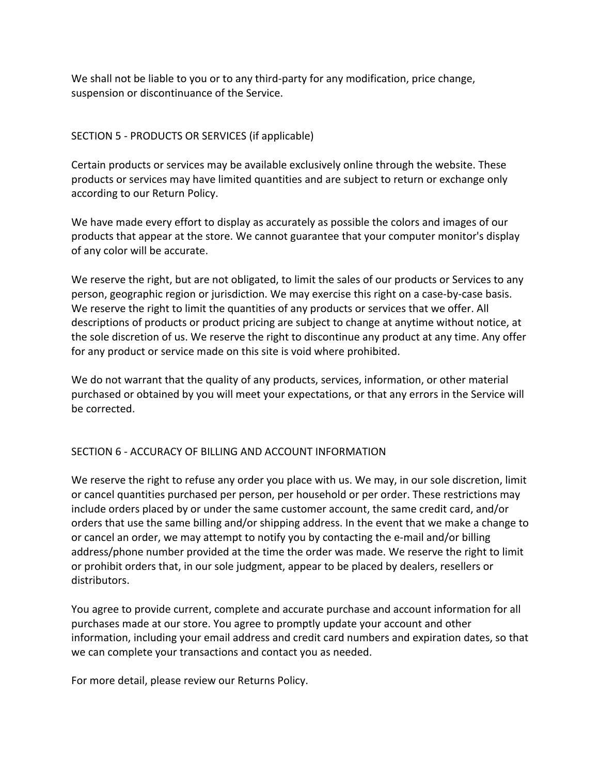We shall not be liable to you or to any third-party for any modification, price change, suspension or discontinuance of the Service.

# SECTION 5 - PRODUCTS OR SERVICES (if applicable)

Certain products or services may be available exclusively online through the website. These products or services may have limited quantities and are subject to return or exchange only according to our Return Policy.

We have made every effort to display as accurately as possible the colors and images of our products that appear at the store. We cannot guarantee that your computer monitor's display of any color will be accurate.

We reserve the right, but are not obligated, to limit the sales of our products or Services to any person, geographic region or jurisdiction. We may exercise this right on a case-by-case basis. We reserve the right to limit the quantities of any products or services that we offer. All descriptions of products or product pricing are subject to change at anytime without notice, at the sole discretion of us. We reserve the right to discontinue any product at any time. Any offer for any product or service made on this site is void where prohibited.

We do not warrant that the quality of any products, services, information, or other material purchased or obtained by you will meet your expectations, or that any errors in the Service will be corrected.

## SECTION 6 - ACCURACY OF BILLING AND ACCOUNT INFORMATION

We reserve the right to refuse any order you place with us. We may, in our sole discretion, limit or cancel quantities purchased per person, per household or per order. These restrictions may include orders placed by or under the same customer account, the same credit card, and/or orders that use the same billing and/or shipping address. In the event that we make a change to or cancel an order, we may attempt to notify you by contacting the e-mail and/or billing address/phone number provided at the time the order was made. We reserve the right to limit or prohibit orders that, in our sole judgment, appear to be placed by dealers, resellers or distributors.

You agree to provide current, complete and accurate purchase and account information for all purchases made at our store. You agree to promptly update your account and other information, including your email address and credit card numbers and expiration dates, so that we can complete your transactions and contact you as needed.

For more detail, please review our Returns Policy.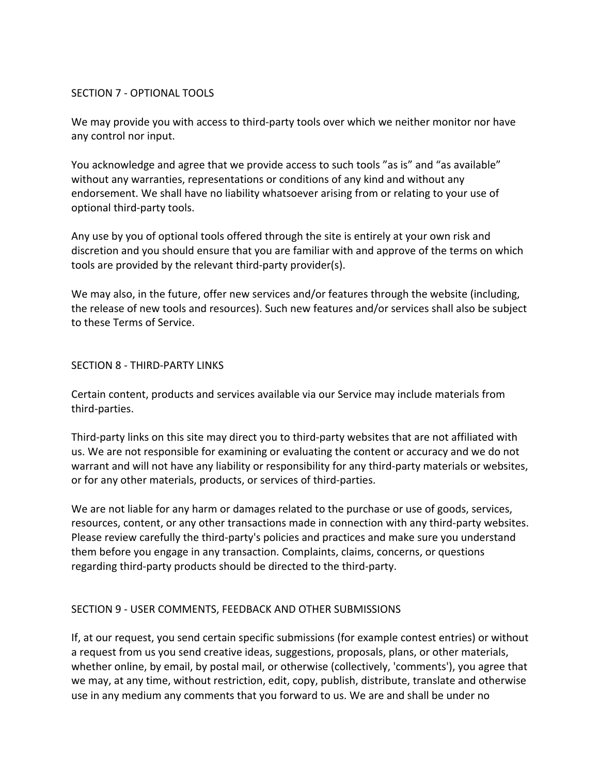# SECTION 7 - OPTIONAL TOOLS

We may provide you with access to third-party tools over which we neither monitor nor have any control nor input.

You acknowledge and agree that we provide access to such tools "as is" and "as available" without any warranties, representations or conditions of any kind and without any endorsement. We shall have no liability whatsoever arising from or relating to your use of optional third-party tools.

Any use by you of optional tools offered through the site is entirely at your own risk and discretion and you should ensure that you are familiar with and approve of the terms on which tools are provided by the relevant third-party provider(s).

We may also, in the future, offer new services and/or features through the website (including, the release of new tools and resources). Such new features and/or services shall also be subject to these Terms of Service.

## SECTION 8 - THIRD-PARTY LINKS

Certain content, products and services available via our Service may include materials from third-parties.

Third-party links on this site may direct you to third-party websites that are not affiliated with us. We are not responsible for examining or evaluating the content or accuracy and we do not warrant and will not have any liability or responsibility for any third-party materials or websites, or for any other materials, products, or services of third-parties.

We are not liable for any harm or damages related to the purchase or use of goods, services, resources, content, or any other transactions made in connection with any third-party websites. Please review carefully the third-party's policies and practices and make sure you understand them before you engage in any transaction. Complaints, claims, concerns, or questions regarding third-party products should be directed to the third-party.

# SECTION 9 - USER COMMENTS, FEEDBACK AND OTHER SUBMISSIONS

If, at our request, you send certain specific submissions (for example contest entries) or without a request from us you send creative ideas, suggestions, proposals, plans, or other materials, whether online, by email, by postal mail, or otherwise (collectively, 'comments'), you agree that we may, at any time, without restriction, edit, copy, publish, distribute, translate and otherwise use in any medium any comments that you forward to us. We are and shall be under no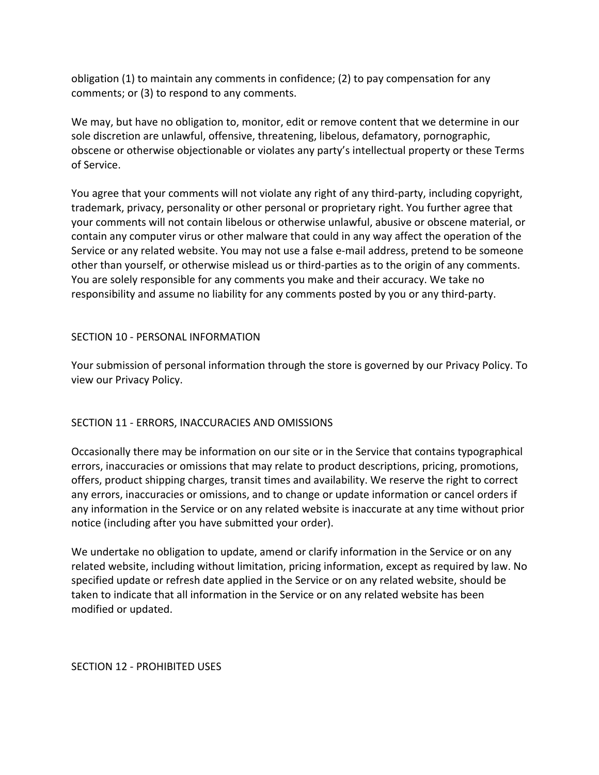obligation (1) to maintain any comments in confidence; (2) to pay compensation for any comments; or (3) to respond to any comments.

We may, but have no obligation to, monitor, edit or remove content that we determine in our sole discretion are unlawful, offensive, threatening, libelous, defamatory, pornographic, obscene or otherwise objectionable or violates any party's intellectual property or these Terms of Service.

You agree that your comments will not violate any right of any third-party, including copyright, trademark, privacy, personality or other personal or proprietary right. You further agree that your comments will not contain libelous or otherwise unlawful, abusive or obscene material, or contain any computer virus or other malware that could in any way affect the operation of the Service or any related website. You may not use a false e-mail address, pretend to be someone other than yourself, or otherwise mislead us or third-parties as to the origin of any comments. You are solely responsible for any comments you make and their accuracy. We take no responsibility and assume no liability for any comments posted by you or any third-party.

## SECTION 10 - PERSONAL INFORMATION

Your submission of personal information through the store is governed by our Privacy Policy. To view our Privacy Policy.

# SECTION 11 - ERRORS, INACCURACIES AND OMISSIONS

Occasionally there may be information on our site or in the Service that contains typographical errors, inaccuracies or omissions that may relate to product descriptions, pricing, promotions, offers, product shipping charges, transit times and availability. We reserve the right to correct any errors, inaccuracies or omissions, and to change or update information or cancel orders if any information in the Service or on any related website is inaccurate at any time without prior notice (including after you have submitted your order).

We undertake no obligation to update, amend or clarify information in the Service or on any related website, including without limitation, pricing information, except as required by law. No specified update or refresh date applied in the Service or on any related website, should be taken to indicate that all information in the Service or on any related website has been modified or updated.

SECTION 12 - PROHIBITED USES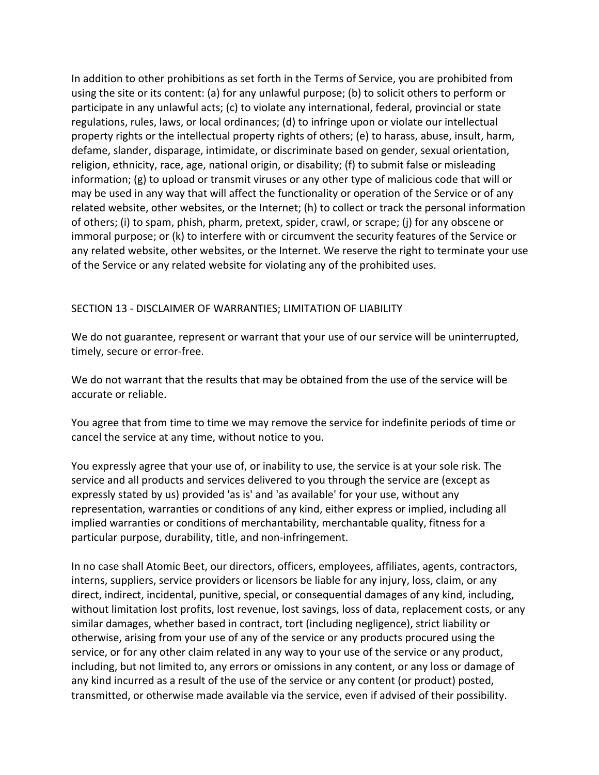In addition to other prohibitions as set forth in the Terms of Service, you are prohibited from using the site or its content: (a) for any unlawful purpose; (b) to solicit others to perform or participate in any unlawful acts; (c) to violate any international, federal, provincial or state regulations, rules, laws, or local ordinances; (d) to infringe upon or violate our intellectual property rights or the intellectual property rights of others; (e) to harass, abuse, insult, harm, defame, slander, disparage, intimidate, or discriminate based on gender, sexual orientation, religion, ethnicity, race, age, national origin, or disability; (f) to submit false or misleading information; (g) to upload or transmit viruses or any other type of malicious code that will or may be used in any way that will affect the functionality or operation of the Service or of any related website, other websites, or the Internet; (h) to collect or track the personal information of others; (i) to spam, phish, pharm, pretext, spider, crawl, or scrape; (j) for any obscene or immoral purpose; or (k) to interfere with or circumvent the security features of the Service or any related website, other websites, or the Internet. We reserve the right to terminate your use of the Service or any related website for violating any of the prohibited uses.

## SECTION 13 - DISCLAIMER OF WARRANTIES; LIMITATION OF LIABILITY

We do not guarantee, represent or warrant that your use of our service will be uninterrupted, timely, secure or error-free.

We do not warrant that the results that may be obtained from the use of the service will be accurate or reliable.

You agree that from time to time we may remove the service for indefinite periods of time or cancel the service at any time, without notice to you.

You expressly agree that your use of, or inability to use, the service is at your sole risk. The service and all products and services delivered to you through the service are (except as expressly stated by us) provided 'as is' and 'as available' for your use, without any representation, warranties or conditions of any kind, either express or implied, including all implied warranties or conditions of merchantability, merchantable quality, fitness for a particular purpose, durability, title, and non-infringement.

In no case shall Atomic Beet, our directors, officers, employees, affiliates, agents, contractors, interns, suppliers, service providers or licensors be liable for any injury, loss, claim, or any direct, indirect, incidental, punitive, special, or consequential damages of any kind, including, without limitation lost profits, lost revenue, lost savings, loss of data, replacement costs, or any similar damages, whether based in contract, tort (including negligence), strict liability or otherwise, arising from your use of any of the service or any products procured using the service, or for any other claim related in any way to your use of the service or any product, including, but not limited to, any errors or omissions in any content, or any loss or damage of any kind incurred as a result of the use of the service or any content (or product) posted, transmitted, or otherwise made available via the service, even if advised of their possibility.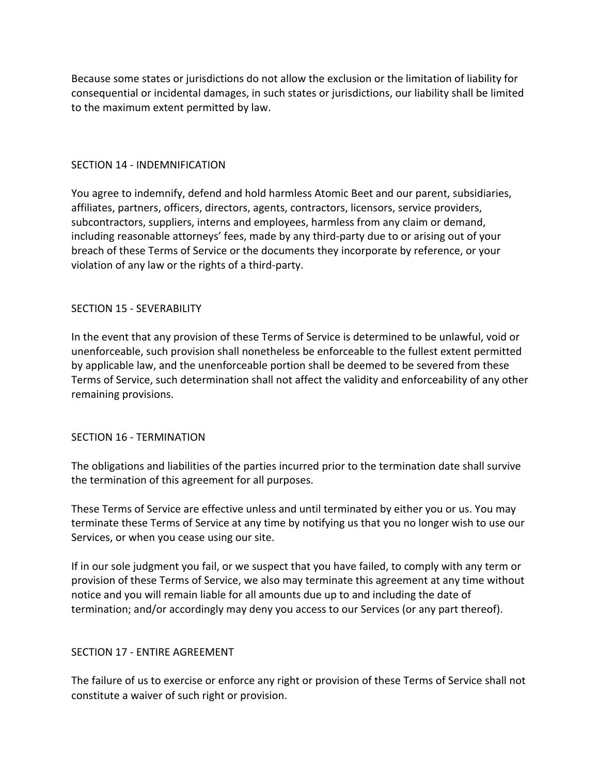Because some states or jurisdictions do not allow the exclusion or the limitation of liability for consequential or incidental damages, in such states or jurisdictions, our liability shall be limited to the maximum extent permitted by law.

#### SECTION 14 - INDEMNIFICATION

You agree to indemnify, defend and hold harmless Atomic Beet and our parent, subsidiaries, affiliates, partners, officers, directors, agents, contractors, licensors, service providers, subcontractors, suppliers, interns and employees, harmless from any claim or demand, including reasonable attorneys' fees, made by any third-party due to or arising out of your breach of these Terms of Service or the documents they incorporate by reference, or your violation of any law or the rights of a third-party.

#### SECTION 15 - SEVERABILITY

In the event that any provision of these Terms of Service is determined to be unlawful, void or unenforceable, such provision shall nonetheless be enforceable to the fullest extent permitted by applicable law, and the unenforceable portion shall be deemed to be severed from these Terms of Service, such determination shall not affect the validity and enforceability of any other remaining provisions.

#### SECTION 16 - TERMINATION

The obligations and liabilities of the parties incurred prior to the termination date shall survive the termination of this agreement for all purposes.

These Terms of Service are effective unless and until terminated by either you or us. You may terminate these Terms of Service at any time by notifying us that you no longer wish to use our Services, or when you cease using our site.

If in our sole judgment you fail, or we suspect that you have failed, to comply with any term or provision of these Terms of Service, we also may terminate this agreement at any time without notice and you will remain liable for all amounts due up to and including the date of termination; and/or accordingly may deny you access to our Services (or any part thereof).

#### SECTION 17 - ENTIRE AGREEMENT

The failure of us to exercise or enforce any right or provision of these Terms of Service shall not constitute a waiver of such right or provision.